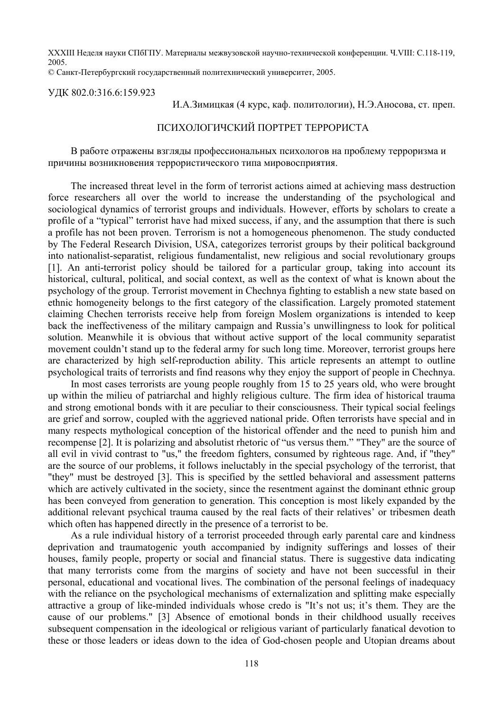XXXIII Неделя науки СПбГПУ. Материалы межвузовской научно-технической конференции. Ч.VIII: С.118-119, 2005.

© Санкт-Петербургский государственный политехнический университет, 2005.

УДК 802.0:316.6:159.923

И.А.Зимицкая (4 курс, каф. политологии), Н.Э.Аносова, ст. преп.

## ПСИХОЛОГИЧСКИЙ ПОРТРЕТ ТЕРРОРИСТА

В работе отражены взгляды профессиональных психологов на проблему терроризма и причины возникновения террористического типа мировосприятия.

The increased threat level in the form of terrorist actions aimed at achieving mass destruction force researchers all over the world to increase the understanding of the psychological and sociological dynamics of terrorist groups and individuals. However, efforts by scholars to create a profile of a "typical" terrorist have had mixed success, if any, and the assumption that there is such a profile has not been proven. Terrorism is not a homogeneous phenomenon. The study conducted by The Federal Research Division, USA, categorizes terrorist groups by their political background into nationalist-separatist, religious fundamentalist, new religious and social revolutionary groups [1]. An anti-terrorist policy should be tailored for a particular group, taking into account its historical, cultural, political, and social context, as well as the context of what is known about the psychology of the group. Terrorist movement in Chechnya fighting to establish a new state based on ethnic homogeneity belongs to the first category of the classification. Largely promoted statement claiming Chechen terrorists receive help from foreign Moslem organizations is intended to keep back the ineffectiveness of the military campaign and Russia's unwillingness to look for political solution. Meanwhile it is obvious that without active support of the local community separatist movement couldn't stand up to the federal army for such long time. Moreover, terrorist groups here are characterized by high self-reproduction ability. This article represents an attempt to outline psychological traits of terrorists and find reasons why they enjoy the support of people in Chechnya.

In most cases terrorists are young people roughly from 15 to 25 years old, who were brought up within the milieu of patriarchal and highly religious culture. The firm idea of historical trauma and strong emotional bonds with it are peculiar to their consciousness. Their typical social feelings are grief and sorrow, coupled with the aggrieved national pride. Often terrorists have special and in many respects mythological conception of the historical offender and the need to punish him and recompense [2]. It is polarizing and absolutist rhetoric of "us versus them." "They" are the source of all evil in vivid contrast to "us," the freedom fighters, consumed by righteous rage. And, if "they" are the source of our problems, it follows ineluctably in the special psychology of the terrorist, that "they" must be destroyed [3]. This is specified by the settled behavioral and assessment patterns which are actively cultivated in the society, since the resentment against the dominant ethnic group has been conveyed from generation to generation. This conception is most likely expanded by the additional relevant psychical trauma caused by the real facts of their relatives' or tribesmen death which often has happened directly in the presence of a terrorist to be.

As a rule individual history of a terrorist proceeded through early parental care and kindness deprivation and traumatogenic youth accompanied by indignity sufferings and losses of their houses, family people, property or social and financial status. There is suggestive data indicating that many terrorists come from the margins of society and have not been successful in their personal, educational and vocational lives. The combination of the personal feelings of inadequacy with the reliance on the psychological mechanisms of externalization and splitting make especially attractive a group of like-minded individuals whose credo is "It's not us; it's them. They are the cause of our problems." [3] Absence of emotional bonds in their childhood usually receives subsequent compensation in the ideological or religious variant of particularly fanatical devotion to these or those leaders or ideas down to the idea of God-chosen people and Utopian dreams about